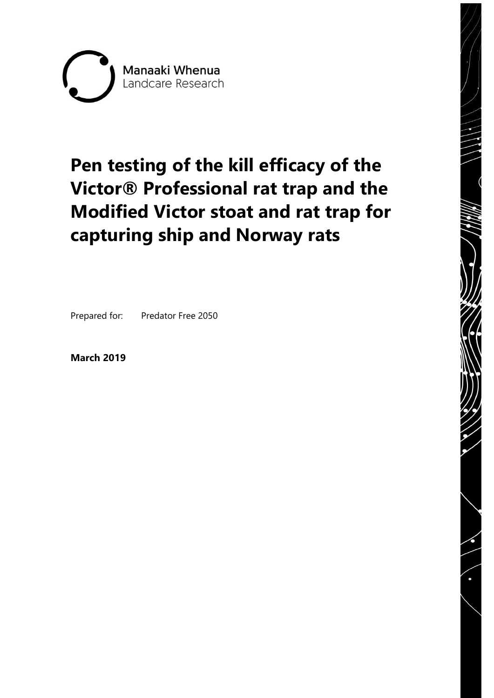

# **Pen testing of the kill efficacy of the Victor® Professional rat trap and the Modified Victor stoat and rat trap for capturing ship and Norway rats**

Prepared for: Predator Free 2050

**March 2019**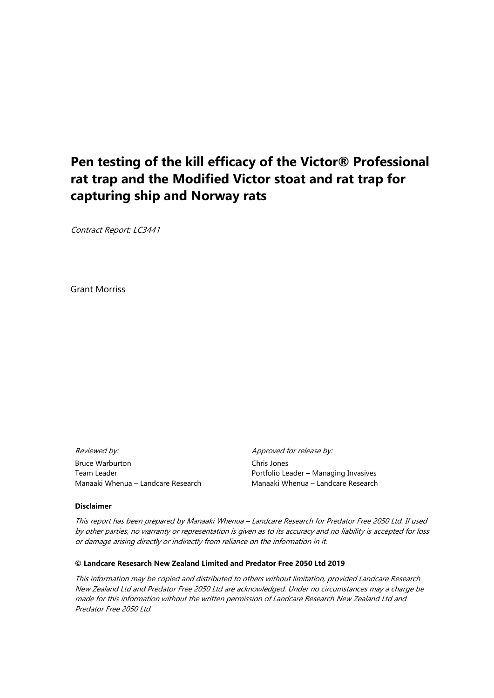## **Pen testing of the kill efficacy of the Victor® Professional rat trap and the Modified Victor stoat and rat trap for capturing ship and Norway rats**

Contract Report: LC3441

Grant Morriss

| <i>Reviewed by:</i>                | Approved for release by:              |
|------------------------------------|---------------------------------------|
| <b>Bruce Warburton</b>             | Chris Jones                           |
| Team Leader                        | Portfolio Leader – Managing Invasives |
| Manaaki Whenua – Landcare Research | Manaaki Whenua – Landcare Research    |

#### **Disclaimer**

This report has been prepared by Manaaki Whenua – Landcare Research for Predator Free 2050 Ltd. If used by other parties, no warranty or representation is given as to its accuracy and no liability is accepted for loss or damage arising directly or indirectly from reliance on the information in it.

#### **© Landcare Resesarch New Zealand Limited and Predator Free 2050 Ltd 2019**

This information may be copied and distributed to others without limitation, provided Landcare Research New Zealand Ltd and Predator Free 2050 Ltd are acknowledged. Under no circumstances may a charge be made for this information without the written permission of Landcare Research New Zealand Ltd and Predator Free 2050 Ltd.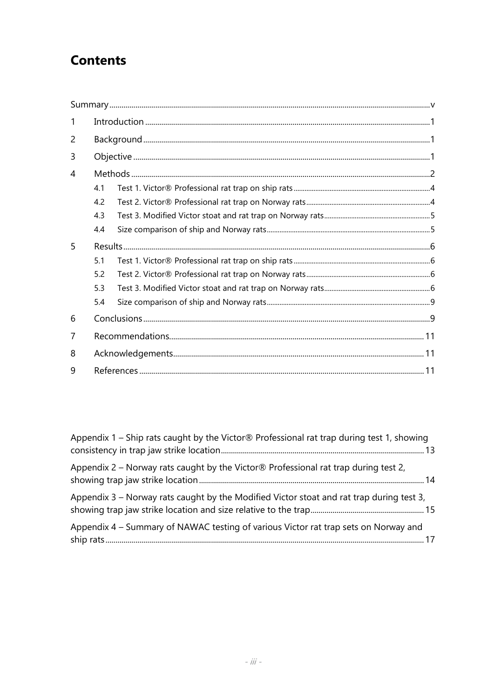# **Contents**

| 1 |     |  |  |  |  |  |
|---|-----|--|--|--|--|--|
| 2 |     |  |  |  |  |  |
| 3 |     |  |  |  |  |  |
| 4 |     |  |  |  |  |  |
|   | 4.1 |  |  |  |  |  |
|   | 4.2 |  |  |  |  |  |
|   | 4.3 |  |  |  |  |  |
|   | 4.4 |  |  |  |  |  |
| 5 |     |  |  |  |  |  |
|   | 5.1 |  |  |  |  |  |
|   | 5.2 |  |  |  |  |  |
|   | 5.3 |  |  |  |  |  |
|   | 5.4 |  |  |  |  |  |
| 6 |     |  |  |  |  |  |
| 7 |     |  |  |  |  |  |
| 8 |     |  |  |  |  |  |
| 9 |     |  |  |  |  |  |

| Appendix 1 – Ship rats caught by the Victor $\circledR$ Professional rat trap during test 1, showing |  |
|------------------------------------------------------------------------------------------------------|--|
| Appendix 2 – Norway rats caught by the Victor $\circledR$ Professional rat trap during test 2,       |  |
| Appendix $3$ – Norway rats caught by the Modified Victor stoat and rat trap during test $3$ ,        |  |
| Appendix 4 - Summary of NAWAC testing of various Victor rat trap sets on Norway and                  |  |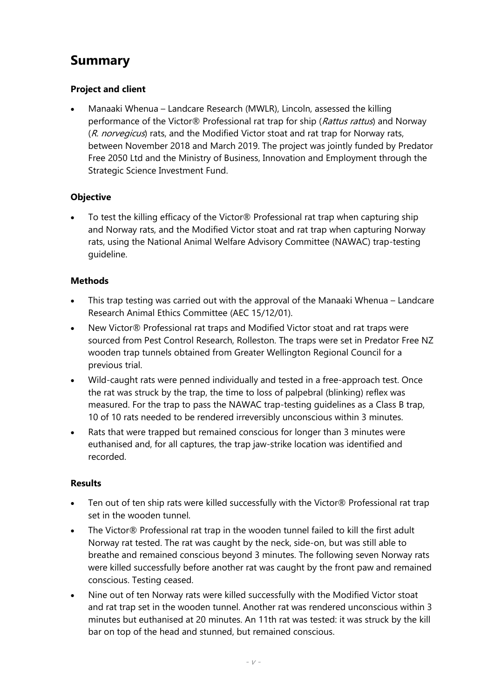# <span id="page-6-0"></span>**Summary**

#### **Project and client**

• Manaaki Whenua – Landcare Research (MWLR), Lincoln, assessed the killing performance of the Victor® Professional rat trap for ship (Rattus rattus) and Norway (R. norvegicus) rats, and the Modified Victor stoat and rat trap for Norway rats, between November 2018 and March 2019. The project was jointly funded by Predator Free 2050 Ltd and the Ministry of Business, Innovation and Employment through the Strategic Science Investment Fund.

#### **Objective**

To test the killing efficacy of the Victor® Professional rat trap when capturing ship and Norway rats, and the Modified Victor stoat and rat trap when capturing Norway rats, using the National Animal Welfare Advisory Committee (NAWAC) trap-testing guideline.

#### **Methods**

- This trap testing was carried out with the approval of the Manaaki Whenua Landcare Research Animal Ethics Committee (AEC 15/12/01).
- New Victor® Professional rat traps and Modified Victor stoat and rat traps were sourced from Pest Control Research, Rolleston. The traps were set in Predator Free NZ wooden trap tunnels obtained from Greater Wellington Regional Council for a previous trial.
- Wild-caught rats were penned individually and tested in a free-approach test. Once the rat was struck by the trap, the time to loss of palpebral (blinking) reflex was measured. For the trap to pass the NAWAC trap-testing guidelines as a Class B trap, 10 of 10 rats needed to be rendered irreversibly unconscious within 3 minutes.
- Rats that were trapped but remained conscious for longer than 3 minutes were euthanised and, for all captures, the trap jaw-strike location was identified and recorded.

#### **Results**

- Ten out of ten ship rats were killed successfully with the Victor® Professional rat trap set in the wooden tunnel.
- The Victor® Professional rat trap in the wooden tunnel failed to kill the first adult Norway rat tested. The rat was caught by the neck, side-on, but was still able to breathe and remained conscious beyond 3 minutes. The following seven Norway rats were killed successfully before another rat was caught by the front paw and remained conscious. Testing ceased.
- Nine out of ten Norway rats were killed successfully with the Modified Victor stoat and rat trap set in the wooden tunnel. Another rat was rendered unconscious within 3 minutes but euthanised at 20 minutes. An 11th rat was tested: it was struck by the kill bar on top of the head and stunned, but remained conscious.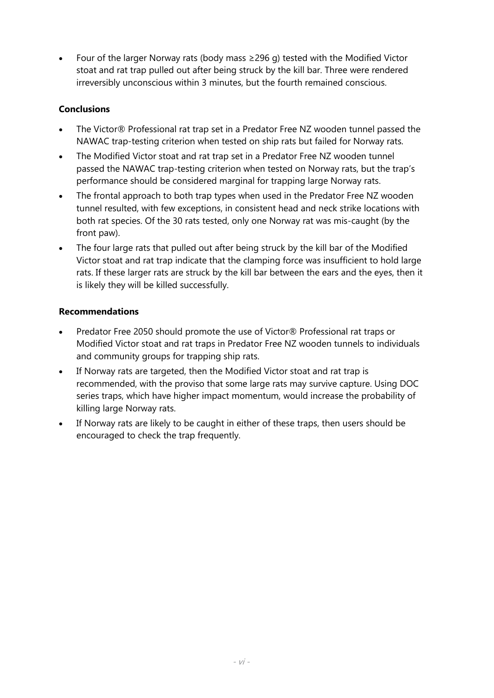Four of the larger Norway rats (body mass  $\geq$ 296 g) tested with the Modified Victor stoat and rat trap pulled out after being struck by the kill bar. Three were rendered irreversibly unconscious within 3 minutes, but the fourth remained conscious.

#### **Conclusions**

- The Victor® Professional rat trap set in a Predator Free NZ wooden tunnel passed the NAWAC trap-testing criterion when tested on ship rats but failed for Norway rats.
- The Modified Victor stoat and rat trap set in a Predator Free NZ wooden tunnel passed the NAWAC trap-testing criterion when tested on Norway rats, but the trap's performance should be considered marginal for trapping large Norway rats.
- The frontal approach to both trap types when used in the Predator Free NZ wooden tunnel resulted, with few exceptions, in consistent head and neck strike locations with both rat species. Of the 30 rats tested, only one Norway rat was mis-caught (by the front paw).
- The four large rats that pulled out after being struck by the kill bar of the Modified Victor stoat and rat trap indicate that the clamping force was insufficient to hold large rats. If these larger rats are struck by the kill bar between the ears and the eyes, then it is likely they will be killed successfully.

#### **Recommendations**

- Predator Free 2050 should promote the use of Victor® Professional rat traps or Modified Victor stoat and rat traps in Predator Free NZ wooden tunnels to individuals and community groups for trapping ship rats.
- If Norway rats are targeted, then the Modified Victor stoat and rat trap is recommended, with the proviso that some large rats may survive capture. Using DOC series traps, which have higher impact momentum, would increase the probability of killing large Norway rats.
- If Norway rats are likely to be caught in either of these traps, then users should be encouraged to check the trap frequently.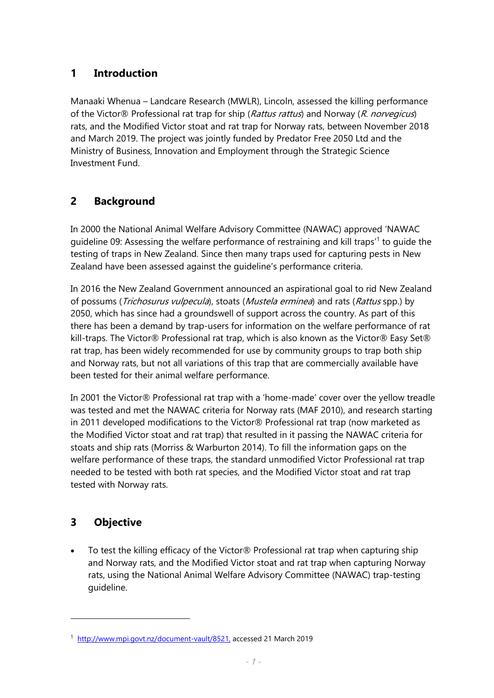#### <span id="page-8-0"></span>**1 Introduction**

Manaaki Whenua – Landcare Research (MWLR), Lincoln, assessed the killing performance of the Victor® Professional rat trap for ship (Rattus rattus) and Norway (R. norvegicus) rats, and the Modified Victor stoat and rat trap for Norway rats, between November 2018 and March 2019. The project was jointly funded by Predator Free 2050 Ltd and the Ministry of Business, Innovation and Employment through the Strategic Science Investment Fund.

### <span id="page-8-1"></span>**2 Background**

In 2000 the National Animal Welfare Advisory Committee (NAWAC) approved 'NAWAC guideline 09: Assessing the welfare performance of restraining and kill traps<sup>'1</sup> to guide the testing of traps in New Zealand. Since then many traps used for capturing pests in New Zealand have been assessed against the guideline's performance criteria.

In 2016 the New Zealand Government announced an aspirational goal to rid New Zealand of possums (*Trichosurus vulpecula*), stoats (*Mustela erminea*) and rats (*Rattus* spp.) by 2050, which has since had a groundswell of support across the country. As part of this there has been a demand by trap-users for information on the welfare performance of rat kill-traps. The Victor® Professional rat trap, which is also known as the Victor® Easy Set® rat trap, has been widely recommended for use by community groups to trap both ship and Norway rats, but not all variations of this trap that are commercially available have been tested for their animal welfare performance.

In 2001 the Victor® Professional rat trap with a 'home-made' cover over the yellow treadle was tested and met the NAWAC criteria for Norway rats (MAF 2010), and research starting in 2011 developed modifications to the Victor® Professional rat trap (now marketed as the Modified Victor stoat and rat trap) that resulted in it passing the NAWAC criteria for stoats and ship rats (Morriss & Warburton 2014). To fill the information gaps on the welfare performance of these traps, the standard unmodified Victor Professional rat trap needed to be tested with both rat species, and the Modified Victor stoat and rat trap tested with Norway rats.

#### <span id="page-8-2"></span>**3 Objective**

1

• To test the killing efficacy of the Victor® Professional rat trap when capturing ship and Norway rats, and the Modified Victor stoat and rat trap when capturing Norway rats, using the National Animal Welfare Advisory Committee (NAWAC) trap-testing guideline.

<sup>&</sup>lt;sup>1</sup> [http://www.mpi.govt.nz/document-vault/8521,](http://www.mpi.govt.nz/document-vault/8521) accessed 21 March 2019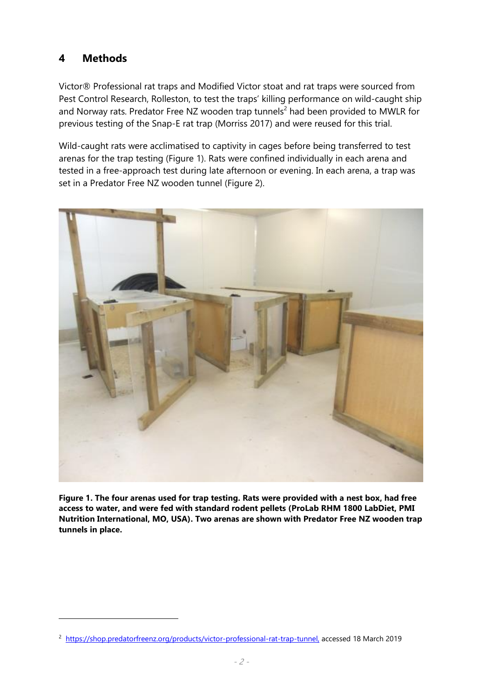#### <span id="page-9-0"></span>**4 Methods**

 $\overline{a}$ 

Victor® Professional rat traps and Modified Victor stoat and rat traps were sourced from Pest Control Research, Rolleston, to test the traps' killing performance on wild-caught ship and Norway rats. Predator Free NZ wooden trap tunnels<sup>2</sup> had been provided to MWLR for previous testing of the Snap-E rat trap (Morriss 2017) and were reused for this trial.

Wild-caught rats were acclimatised to captivity in cages before being transferred to test arenas for the trap testing (Figure 1). Rats were confined individually in each arena and tested in a free-approach test during late afternoon or evening. In each arena, a trap was set in a Predator Free NZ wooden tunnel (Figure 2).



**Figure 1. The four arenas used for trap testing. Rats were provided with a nest box, had free access to water, and were fed with standard rodent pellets (ProLab RHM 1800 LabDiet, PMI Nutrition International, MO, USA). Two arenas are shown with Predator Free NZ wooden trap tunnels in place.**

<sup>&</sup>lt;sup>2</sup> [https://shop.predatorfreenz.org/products/victor-professional-rat-trap-tunnel,](https://shop.predatorfreenz.org/products/victor-professional-rat-trap-tunnel) accessed 18 March 2019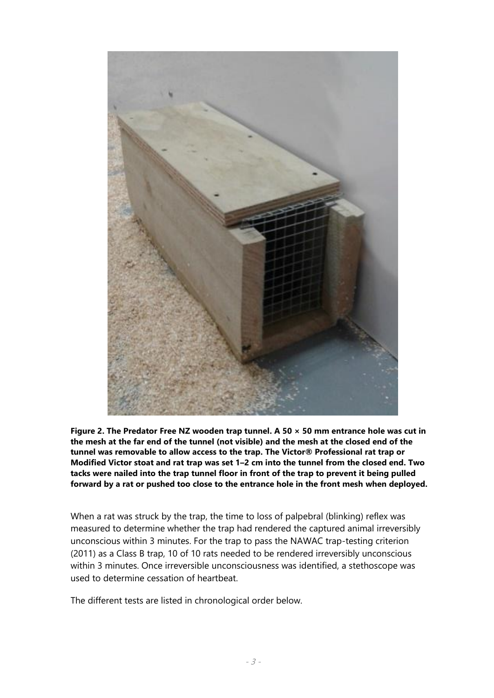

**Figure 2. The Predator Free NZ wooden trap tunnel. A 50 × 50 mm entrance hole was cut in the mesh at the far end of the tunnel (not visible) and the mesh at the closed end of the tunnel was removable to allow access to the trap. The Victor® Professional rat trap or Modified Victor stoat and rat trap was set 1–2 cm into the tunnel from the closed end. Two tacks were nailed into the trap tunnel floor in front of the trap to prevent it being pulled forward by a rat or pushed too close to the entrance hole in the front mesh when deployed.** 

When a rat was struck by the trap, the time to loss of palpebral (blinking) reflex was measured to determine whether the trap had rendered the captured animal irreversibly unconscious within 3 minutes. For the trap to pass the NAWAC trap-testing criterion (2011) as a Class B trap, 10 of 10 rats needed to be rendered irreversibly unconscious within 3 minutes. Once irreversible unconsciousness was identified, a stethoscope was used to determine cessation of heartbeat.

The different tests are listed in chronological order below.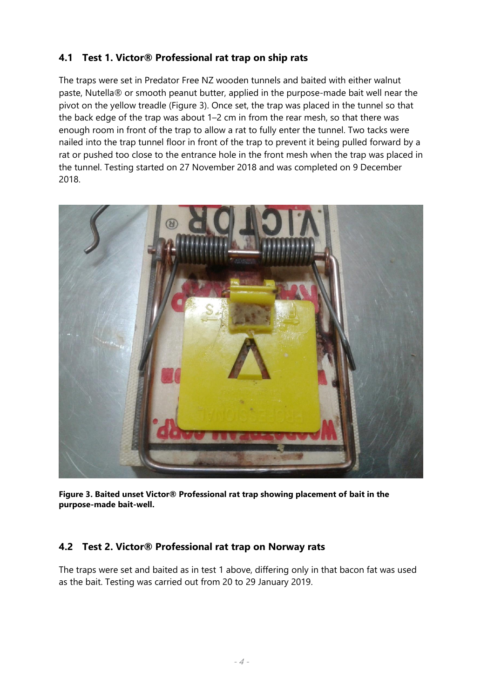#### <span id="page-11-0"></span>**4.1 Test 1. Victor® Professional rat trap on ship rats**

The traps were set in Predator Free NZ wooden tunnels and baited with either walnut paste, Nutella® or smooth peanut butter, applied in the purpose-made bait well near the pivot on the yellow treadle (Figure 3). Once set, the trap was placed in the tunnel so that the back edge of the trap was about 1–2 cm in from the rear mesh, so that there was enough room in front of the trap to allow a rat to fully enter the tunnel. Two tacks were nailed into the trap tunnel floor in front of the trap to prevent it being pulled forward by a rat or pushed too close to the entrance hole in the front mesh when the trap was placed in the tunnel. Testing started on 27 November 2018 and was completed on 9 December 2018.



**Figure 3. Baited unset Victor® Professional rat trap showing placement of bait in the purpose-made bait-well.**

#### <span id="page-11-1"></span>**4.2 Test 2. Victor® Professional rat trap on Norway rats**

The traps were set and baited as in test 1 above, differing only in that bacon fat was used as the bait. Testing was carried out from 20 to 29 January 2019.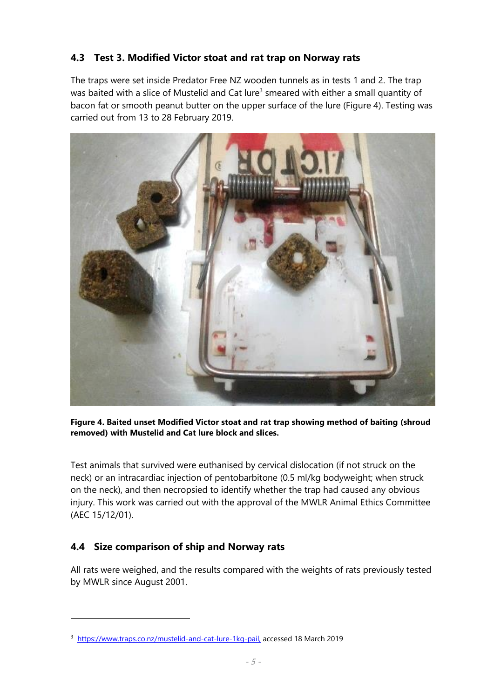#### <span id="page-12-0"></span>**4.3 Test 3. Modified Victor stoat and rat trap on Norway rats**

The traps were set inside Predator Free NZ wooden tunnels as in tests 1 and 2. The trap was baited with a slice of Mustelid and Cat lure<sup>3</sup> smeared with either a small quantity of bacon fat or smooth peanut butter on the upper surface of the lure (Figure 4). Testing was carried out from 13 to 28 February 2019.



**Figure 4. Baited unset Modified Victor stoat and rat trap showing method of baiting (shroud removed) with Mustelid and Cat lure block and slices.**

Test animals that survived were euthanised by cervical dislocation (if not struck on the neck) or an intracardiac injection of pentobarbitone (0.5 ml/kg bodyweight; when struck on the neck), and then necropsied to identify whether the trap had caused any obvious injury. This work was carried out with the approval of the MWLR Animal Ethics Committee (AEC 15/12/01).

#### <span id="page-12-1"></span>**4.4 Size comparison of ship and Norway rats**

1

All rats were weighed, and the results compared with the weights of rats previously tested by MWLR since August 2001.

<sup>&</sup>lt;sup>3</sup> [https://www.traps.co.nz/mustelid-and-cat-lure-1kg-pail,](https://www.traps.co.nz/mustelid-and-cat-lure-1kg-pail) accessed 18 March 2019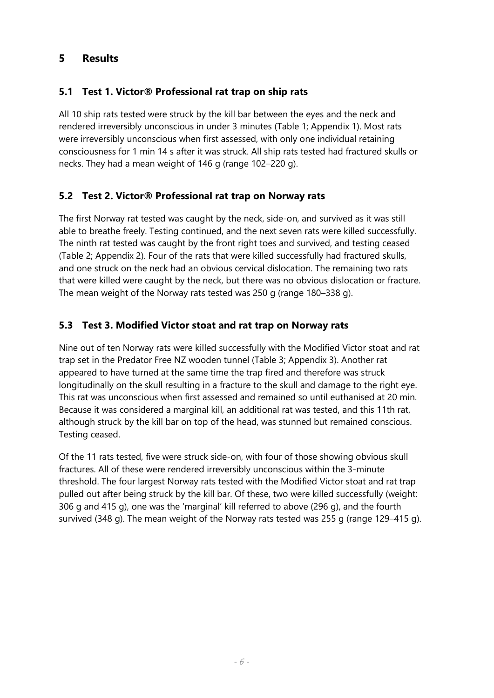#### <span id="page-13-0"></span>**5 Results**

#### <span id="page-13-1"></span>**5.1 Test 1. Victor® Professional rat trap on ship rats**

All 10 ship rats tested were struck by the kill bar between the eyes and the neck and rendered irreversibly unconscious in under 3 minutes (Table 1; Appendix 1). Most rats were irreversibly unconscious when first assessed, with only one individual retaining consciousness for 1 min 14 s after it was struck. All ship rats tested had fractured skulls or necks. They had a mean weight of 146 g (range 102–220 g).

#### <span id="page-13-2"></span>**5.2 Test 2. Victor® Professional rat trap on Norway rats**

The first Norway rat tested was caught by the neck, side-on, and survived as it was still able to breathe freely. Testing continued, and the next seven rats were killed successfully. The ninth rat tested was caught by the front right toes and survived, and testing ceased (Table 2; Appendix 2). Four of the rats that were killed successfully had fractured skulls, and one struck on the neck had an obvious cervical dislocation. The remaining two rats that were killed were caught by the neck, but there was no obvious dislocation or fracture. The mean weight of the Norway rats tested was 250 g (range 180–338 g).

#### <span id="page-13-3"></span>**5.3 Test 3. Modified Victor stoat and rat trap on Norway rats**

Nine out of ten Norway rats were killed successfully with the Modified Victor stoat and rat trap set in the Predator Free NZ wooden tunnel (Table 3; Appendix 3). Another rat appeared to have turned at the same time the trap fired and therefore was struck longitudinally on the skull resulting in a fracture to the skull and damage to the right eye. This rat was unconscious when first assessed and remained so until euthanised at 20 min. Because it was considered a marginal kill, an additional rat was tested, and this 11th rat, although struck by the kill bar on top of the head, was stunned but remained conscious. Testing ceased.

Of the 11 rats tested, five were struck side-on, with four of those showing obvious skull fractures. All of these were rendered irreversibly unconscious within the 3-minute threshold. The four largest Norway rats tested with the Modified Victor stoat and rat trap pulled out after being struck by the kill bar. Of these, two were killed successfully (weight: 306 g and 415 g), one was the 'marginal' kill referred to above (296 g), and the fourth survived (348 g). The mean weight of the Norway rats tested was 255 g (range 129–415 g).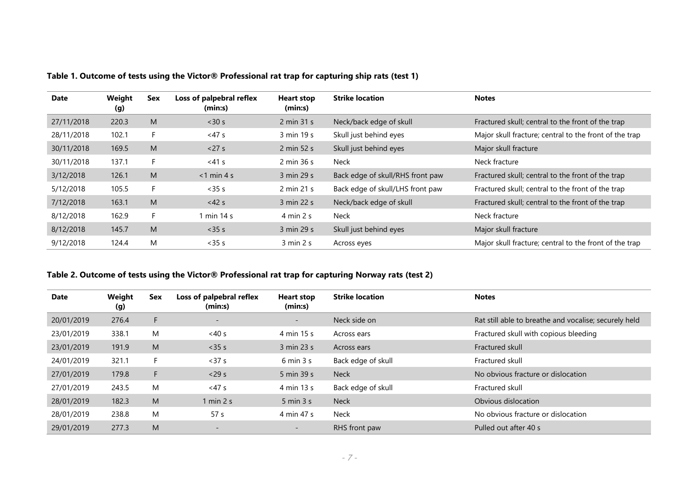| Date       | Weight<br>(g) | Sex | Loss of palpebral reflex<br>(min:s) | <b>Heart stop</b><br>(min:s)  | <b>Strike location</b>           | <b>Notes</b>                                           |
|------------|---------------|-----|-------------------------------------|-------------------------------|----------------------------------|--------------------------------------------------------|
| 27/11/2018 | 220.3         | M   | < 30 s                              | 2 min 31 s                    | Neck/back edge of skull          | Fractured skull; central to the front of the trap      |
| 28/11/2018 | 102.1         |     | <47s                                | 3 min 19 s                    | Skull just behind eyes           | Major skull fracture; central to the front of the trap |
| 30/11/2018 | 169.5         | M   | < 27 s                              | 2 min 52 s                    | Skull just behind eyes           | Major skull fracture                                   |
| 30/11/2018 | 137.1         |     | $<$ 41 $s$                          | $2 \text{ min } 36 \text{ s}$ | <b>Neck</b>                      | Neck fracture                                          |
| 3/12/2018  | 126.1         | M   | $<$ 1 min 4 s                       | 3 min 29 s                    | Back edge of skull/RHS front paw | Fractured skull; central to the front of the trap      |
| 5/12/2018  | 105.5         | F.  | $<$ 35 $s$                          | 2 min 21 s                    | Back edge of skull/LHS front paw | Fractured skull; central to the front of the trap      |
| 7/12/2018  | 163.1         | M   | $<$ 42 s                            | 3 min 22 s                    | Neck/back edge of skull          | Fractured skull; central to the front of the trap      |
| 8/12/2018  | 162.9         | F.  | 1 min 14 s                          | $4 \text{ min } 2 \text{ s}$  | <b>Neck</b>                      | Neck fracture                                          |
| 8/12/2018  | 145.7         | M   | $<$ 35 $s$                          | 3 min 29 s                    | Skull just behind eyes           | Major skull fracture                                   |
| 9/12/2018  | 124.4         | M   | $<$ 35 $s$                          | $3 \text{ min } 2 \text{ s}$  | Across eyes                      | Major skull fracture; central to the front of the trap |

**Table 1. Outcome of tests using the Victor® Professional rat trap for capturing ship rats (test 1)**

#### **Table 2. Outcome of tests using the Victor® Professional rat trap for capturing Norway rats (test 2)**

| <b>Date</b> | Weight<br>(g) | Sex | Loss of palpebral reflex<br>(min:s) | <b>Heart stop</b><br>(min:s) | <b>Strike location</b> | <b>Notes</b>                                          |
|-------------|---------------|-----|-------------------------------------|------------------------------|------------------------|-------------------------------------------------------|
| 20/01/2019  | 276.4         | F.  | $\overline{\phantom{a}}$            | $\sim$                       | Neck side on           | Rat still able to breathe and vocalise; securely held |
| 23/01/2019  | 338.1         | M   | $<$ 40 s                            | 4 min 15 s                   | Across ears            | Fractured skull with copious bleeding                 |
| 23/01/2019  | 191.9         | M   | $<$ 35 $s$                          | 3 min 23 s                   | Across ears            | Fractured skull                                       |
| 24/01/2019  | 321.1         | F   | < 37 s                              | $6 \text{ min } 3 \text{ s}$ | Back edge of skull     | Fractured skull                                       |
| 27/01/2019  | 179.8         | F.  | $<$ 29 s                            | 5 min 39 s                   | Neck                   | No obvious fracture or dislocation                    |
| 27/01/2019  | 243.5         | M   | $<$ 47 $s$                          | 4 min 13 s                   | Back edge of skull     | Fractured skull                                       |
| 28/01/2019  | 182.3         | M   | $1 \text{ min } 2 \text{ s}$        | $5 \text{ min } 3 \text{ s}$ | <b>Neck</b>            | Obvious dislocation                                   |
| 28/01/2019  | 238.8         | M   | 57 <sub>s</sub>                     | 4 min 47 s                   | Neck                   | No obvious fracture or dislocation                    |
| 29/01/2019  | 277.3         | M   | $\overline{\phantom{a}}$            | $\overline{\phantom{0}}$     | RHS front paw          | Pulled out after 40 s                                 |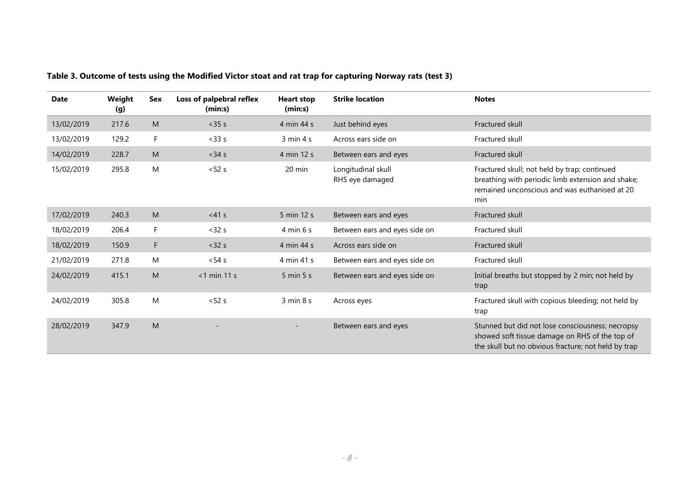| <b>Date</b> | Weight<br>(g) | <b>Sex</b> | Loss of palpebral reflex<br>(min:s) | <b>Heart stop</b><br>(min:s) | <b>Strike location</b>                | <b>Notes</b>                                                                                                                                              |
|-------------|---------------|------------|-------------------------------------|------------------------------|---------------------------------------|-----------------------------------------------------------------------------------------------------------------------------------------------------------|
| 13/02/2019  | 217.6         | M          | $<$ 35 $s$                          | 4 min 44 s                   | Just behind eyes                      | Fractured skull                                                                                                                                           |
| 13/02/2019  | 129.2         | F          | $<$ 33 $s$                          | 3 min 4 s                    | Across ears side on                   | Fractured skull                                                                                                                                           |
| 14/02/2019  | 228.7         | M          | $<$ 34 $s$                          | 4 min 12 s                   | Between ears and eyes                 | Fractured skull                                                                                                                                           |
| 15/02/2019  | 295.8         | M          | < 52 s                              | $20 \text{ min}$             | Longitudinal skull<br>RHS eye damaged | Fractured skull; not held by trap; continued<br>breathing with periodic limb extension and shake;<br>remained unconscious and was euthanised at 20<br>min |
| 17/02/2019  | 240.3         | M          | $<41$ s                             | 5 min 12 s                   | Between ears and eyes                 | Fractured skull                                                                                                                                           |
| 18/02/2019  | 206.4         | F          | < 32 s                              | $4 \text{ min } 6 \text{ s}$ | Between ears and eyes side on         | Fractured skull                                                                                                                                           |
| 18/02/2019  | 150.9         | F          | < 32 s                              | 4 min 44 s                   | Across ears side on                   | Fractured skull                                                                                                                                           |
| 21/02/2019  | 271.8         | M          | $< 54$ s                            | 4 min 41 s                   | Between ears and eyes side on         | Fractured skull                                                                                                                                           |
| 24/02/2019  | 415.1         | M          | $<$ 1 min 11 s                      | $5 \text{ min } 5 \text{ s}$ | Between ears and eyes side on         | Initial breaths but stopped by 2 min; not held by<br>trap                                                                                                 |
| 24/02/2019  | 305.8         | M          | < 52 s                              | 3 min 8 s                    | Across eyes                           | Fractured skull with copious bleeding; not held by<br>trap                                                                                                |
| 28/02/2019  | 347.9         | M          |                                     |                              | Between ears and eyes                 | Stunned but did not lose consciousness; necropsy<br>showed soft tissue damage on RHS of the top of<br>the skull but no obvious fracture; not held by trap |

**Table 3. Outcome of tests using the Modified Victor stoat and rat trap for capturing Norway rats (test 3)**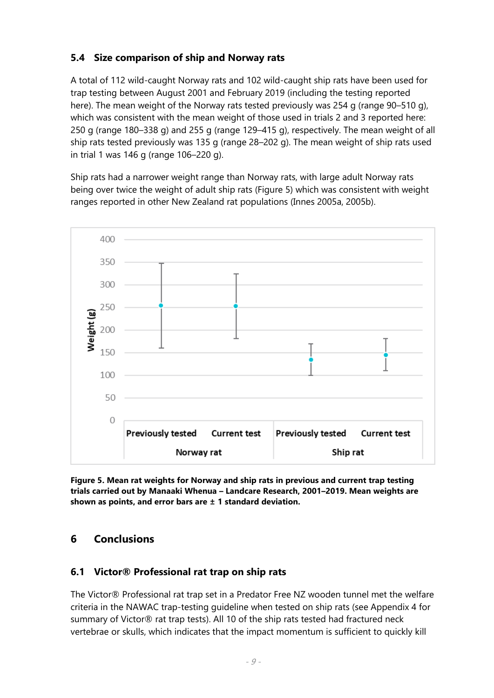#### <span id="page-16-0"></span>**5.4 Size comparison of ship and Norway rats**

A total of 112 wild-caught Norway rats and 102 wild-caught ship rats have been used for trap testing between August 2001 and February 2019 (including the testing reported here). The mean weight of the Norway rats tested previously was 254 g (range 90–510 g), which was consistent with the mean weight of those used in trials 2 and 3 reported here: 250 g (range 180–338 g) and 255 g (range 129–415 g), respectively. The mean weight of all ship rats tested previously was 135 g (range 28–202 g). The mean weight of ship rats used in trial 1 was 146 g (range 106–220 g).

Ship rats had a narrower weight range than Norway rats, with large adult Norway rats being over twice the weight of adult ship rats (Figure 5) which was consistent with weight ranges reported in other New Zealand rat populations (Innes 2005a, 2005b).



**Figure 5. Mean rat weights for Norway and ship rats in previous and current trap testing trials carried out by Manaaki Whenua – Landcare Research, 2001–2019. Mean weights are shown as points, and error bars are ± 1 standard deviation.**

#### <span id="page-16-1"></span>**6 Conclusions**

#### **6.1 Victor® Professional rat trap on ship rats**

The Victor® Professional rat trap set in a Predator Free NZ wooden tunnel met the welfare criteria in the NAWAC trap-testing guideline when tested on ship rats (see Appendix 4 for summary of Victor® rat trap tests). All 10 of the ship rats tested had fractured neck vertebrae or skulls, which indicates that the impact momentum is sufficient to quickly kill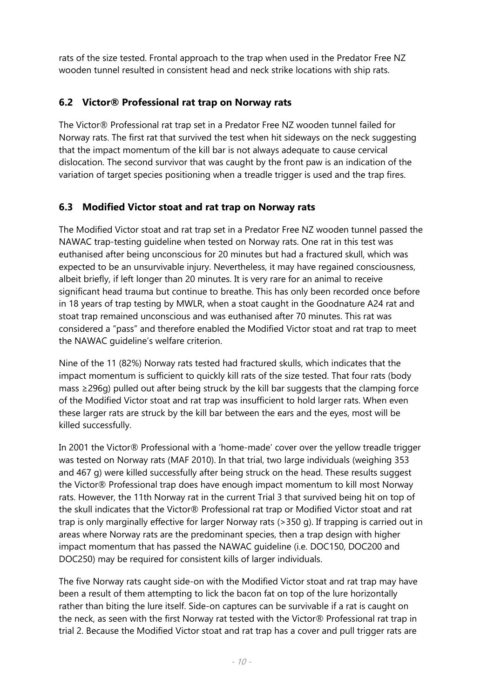rats of the size tested. Frontal approach to the trap when used in the Predator Free NZ wooden tunnel resulted in consistent head and neck strike locations with ship rats.

#### **6.2 Victor® Professional rat trap on Norway rats**

The Victor® Professional rat trap set in a Predator Free NZ wooden tunnel failed for Norway rats. The first rat that survived the test when hit sideways on the neck suggesting that the impact momentum of the kill bar is not always adequate to cause cervical dislocation. The second survivor that was caught by the front paw is an indication of the variation of target species positioning when a treadle trigger is used and the trap fires.

#### **6.3 Modified Victor stoat and rat trap on Norway rats**

The Modified Victor stoat and rat trap set in a Predator Free NZ wooden tunnel passed the NAWAC trap-testing guideline when tested on Norway rats. One rat in this test was euthanised after being unconscious for 20 minutes but had a fractured skull, which was expected to be an unsurvivable injury. Nevertheless, it may have regained consciousness, albeit briefly, if left longer than 20 minutes. It is very rare for an animal to receive significant head trauma but continue to breathe. This has only been recorded once before in 18 years of trap testing by MWLR, when a stoat caught in the Goodnature A24 rat and stoat trap remained unconscious and was euthanised after 70 minutes. This rat was considered a "pass" and therefore enabled the Modified Victor stoat and rat trap to meet the NAWAC guideline's welfare criterion.

Nine of the 11 (82%) Norway rats tested had fractured skulls, which indicates that the impact momentum is sufficient to quickly kill rats of the size tested. That four rats (body mass ≥296g) pulled out after being struck by the kill bar suggests that the clamping force of the Modified Victor stoat and rat trap was insufficient to hold larger rats. When even these larger rats are struck by the kill bar between the ears and the eyes, most will be killed successfully.

In 2001 the Victor® Professional with a 'home-made' cover over the yellow treadle trigger was tested on Norway rats (MAF 2010). In that trial, two large individuals (weighing 353 and 467 g) were killed successfully after being struck on the head. These results suggest the Victor® Professional trap does have enough impact momentum to kill most Norway rats. However, the 11th Norway rat in the current Trial 3 that survived being hit on top of the skull indicates that the Victor® Professional rat trap or Modified Victor stoat and rat trap is only marginally effective for larger Norway rats (>350 g). If trapping is carried out in areas where Norway rats are the predominant species, then a trap design with higher impact momentum that has passed the NAWAC guideline (i.e. DOC150, DOC200 and DOC250) may be required for consistent kills of larger individuals.

The five Norway rats caught side-on with the Modified Victor stoat and rat trap may have been a result of them attempting to lick the bacon fat on top of the lure horizontally rather than biting the lure itself. Side-on captures can be survivable if a rat is caught on the neck, as seen with the first Norway rat tested with the Victor® Professional rat trap in trial 2. Because the Modified Victor stoat and rat trap has a cover and pull trigger rats are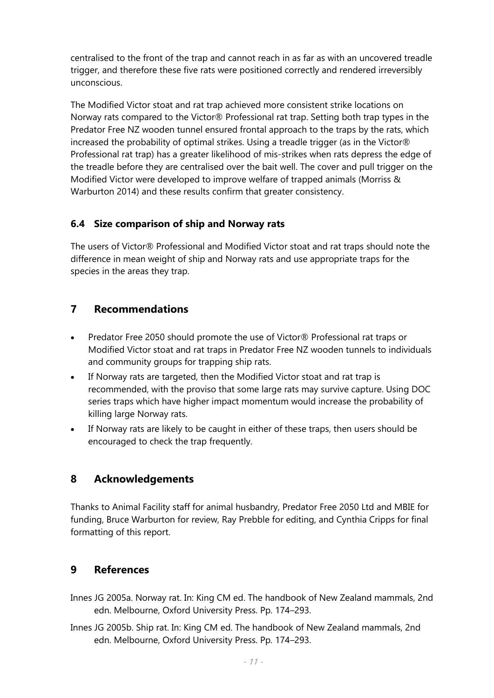centralised to the front of the trap and cannot reach in as far as with an uncovered treadle trigger, and therefore these five rats were positioned correctly and rendered irreversibly unconscious.

The Modified Victor stoat and rat trap achieved more consistent strike locations on Norway rats compared to the Victor® Professional rat trap. Setting both trap types in the Predator Free NZ wooden tunnel ensured frontal approach to the traps by the rats, which increased the probability of optimal strikes. Using a treadle trigger (as in the Victor® Professional rat trap) has a greater likelihood of mis-strikes when rats depress the edge of the treadle before they are centralised over the bait well. The cover and pull trigger on the Modified Victor were developed to improve welfare of trapped animals (Morriss & Warburton 2014) and these results confirm that greater consistency.

#### **6.4 Size comparison of ship and Norway rats**

The users of Victor® Professional and Modified Victor stoat and rat traps should note the difference in mean weight of ship and Norway rats and use appropriate traps for the species in the areas they trap.

#### <span id="page-18-0"></span>**7 Recommendations**

- Predator Free 2050 should promote the use of Victor® Professional rat traps or Modified Victor stoat and rat traps in Predator Free NZ wooden tunnels to individuals and community groups for trapping ship rats.
- If Norway rats are targeted, then the Modified Victor stoat and rat trap is recommended, with the proviso that some large rats may survive capture. Using DOC series traps which have higher impact momentum would increase the probability of killing large Norway rats.
- If Norway rats are likely to be caught in either of these traps, then users should be encouraged to check the trap frequently.

#### <span id="page-18-1"></span>**8 Acknowledgements**

Thanks to Animal Facility staff for animal husbandry, Predator Free 2050 Ltd and MBIE for funding, Bruce Warburton for review, Ray Prebble for editing, and Cynthia Cripps for final formatting of this report.

#### <span id="page-18-2"></span>**9 References**

- Innes JG 2005a. Norway rat. In: King CM ed. The handbook of New Zealand mammals, 2nd edn. Melbourne, Oxford University Press. Pp. 174–293.
- Innes JG 2005b. Ship rat. In: King CM ed. The handbook of New Zealand mammals, 2nd edn. Melbourne, Oxford University Press. Pp. 174–293.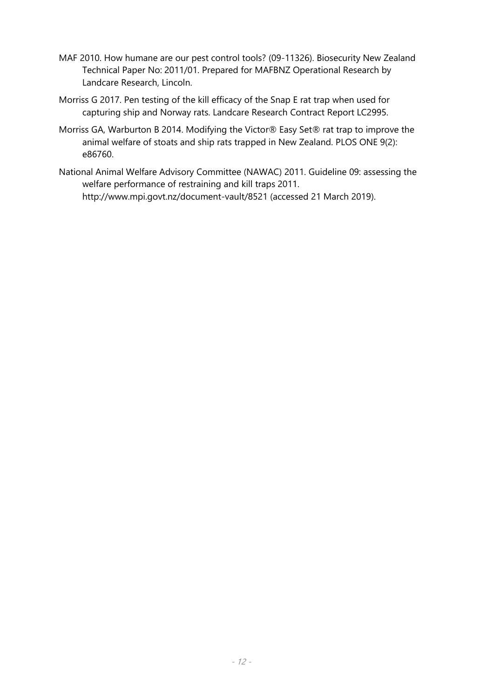- MAF 2010. How humane are our pest control tools? (09-11326). Biosecurity New Zealand Technical Paper No: 2011/01. Prepared for MAFBNZ Operational Research by Landcare Research, Lincoln.
- Morriss G 2017. Pen testing of the kill efficacy of the Snap E rat trap when used for capturing ship and Norway rats. Landcare Research Contract Report LC2995.
- Morriss GA, Warburton B 2014. Modifying the Victor® Easy Set® rat trap to improve the animal welfare of stoats and ship rats trapped in New Zealand. PLOS ONE 9(2): e86760.
- National Animal Welfare Advisory Committee (NAWAC) 2011. Guideline 09: assessing the welfare performance of restraining and kill traps 2011. http://www.mpi.govt.nz/document-vault/8521 (accessed 21 March 2019).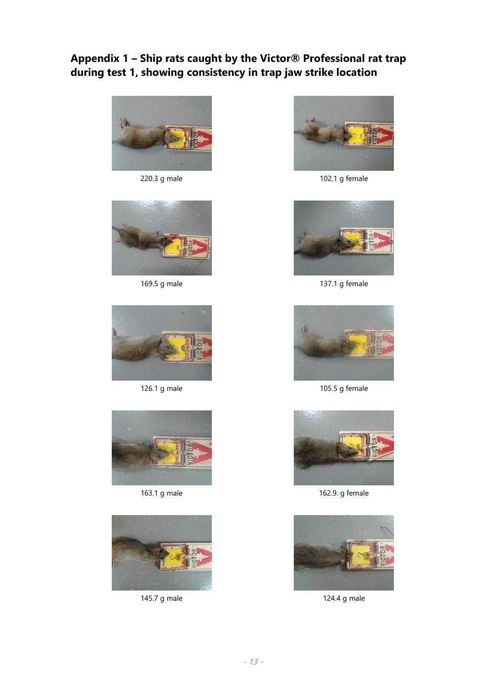### <span id="page-20-0"></span>**Appendix 1 – Ship rats caught by the Victor® Professional rat trap during test 1, showing consistency in trap jaw strike location**













220.3 g male 102.1 g female



169.5 g male 169.5 and 137.1 g female



126.1 g male 105.5 g female



163.1 g male 163.9. g female



145.7 g male 124.4 g male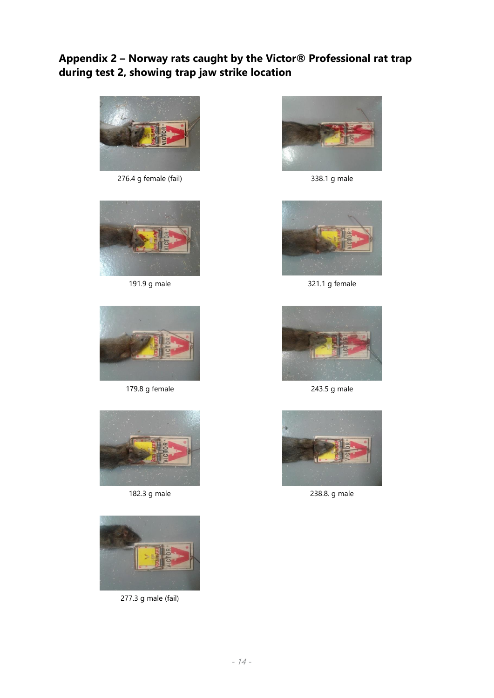### <span id="page-21-0"></span>**Appendix 2 – Norway rats caught by the Victor® Professional rat trap during test 2, showing trap jaw strike location**



276.4 g female (fail) 338.1 g male





179.8 g female 243.5 g male





277.3 g male (fail)





191.9 g male 321.1 g female





182.3 g male 238.8. g male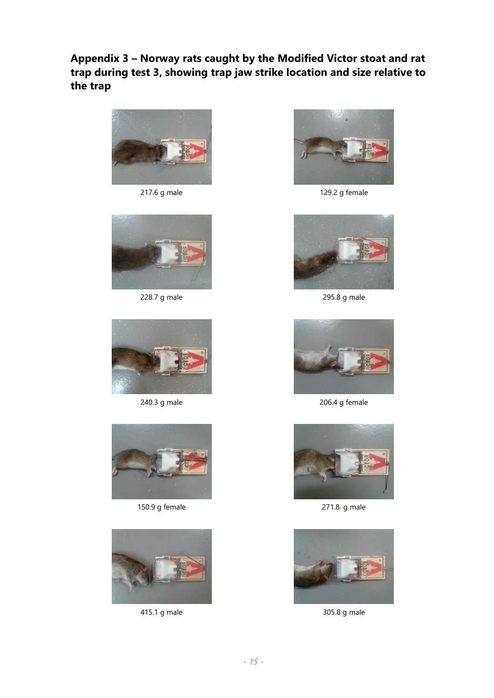<span id="page-22-0"></span>**Appendix 3 – Norway rats caught by the Modified Victor stoat and rat trap during test 3, showing trap jaw strike location and size relative to the trap**









150.9 g female 271.8. g male





217.6 g male 129.2 g female



228.7 g male 295.8 g male



240.3 g male 206.4 g female





415.1 g male 305.8 g male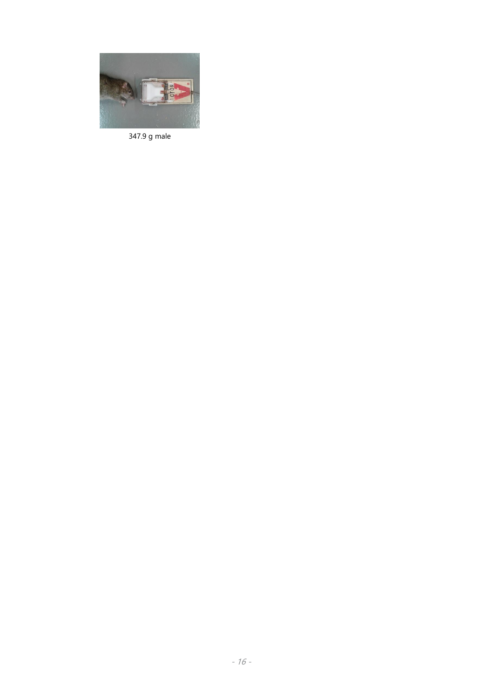

347.9 g male